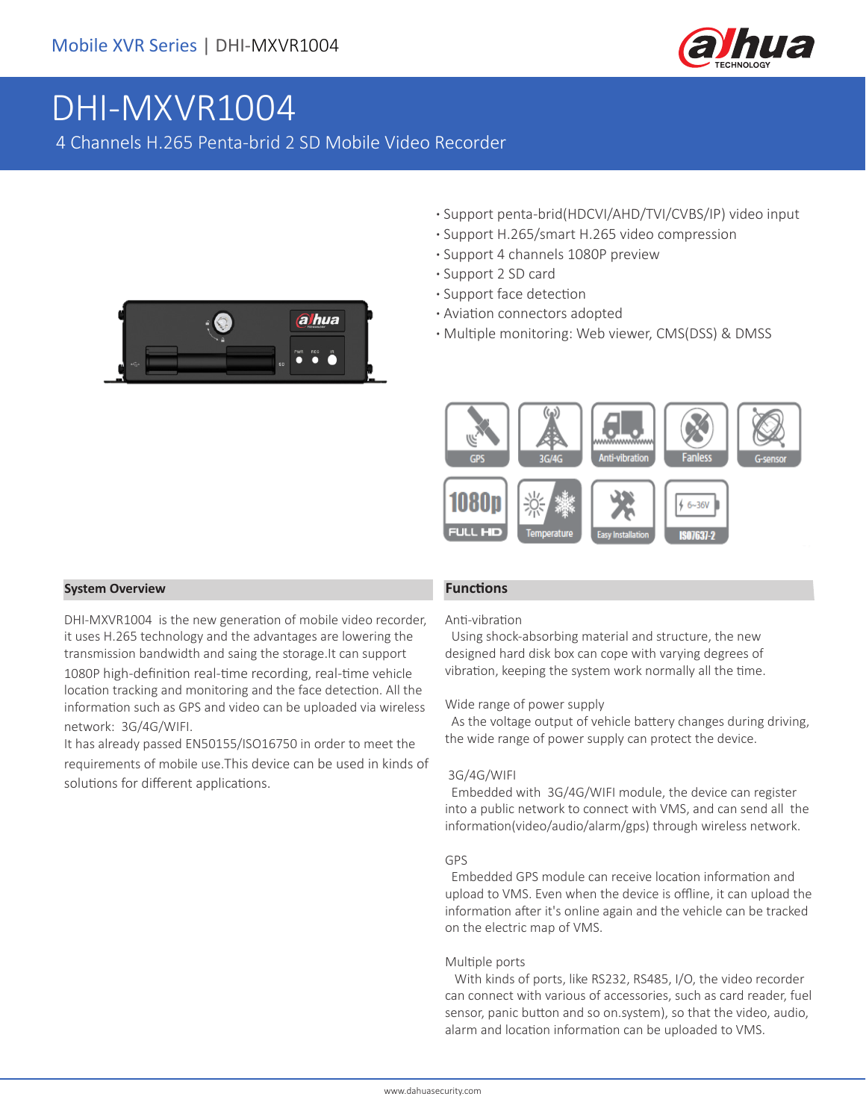

# DHI-MXVR1004

4 Channels H.265 Penta-brid 2 SD Mobile Video Recorder

- **·** Support penta-brid(HDCVI/AHD/TVI/CVBS/IP) video input
- **·** Support H.265/smart H.265 video compression
- **·** Support 4 channels 1080P preview
- **·** Support 2 SD card
- **·** Support face detection
- **·** Aviation connectors adopted
- **·** Multiple monitoring: Web viewer, CMS(DSS) & DMSS



#### **System Overview Functions**

DHI-MXVR1004 is the new generation of mobile video recorder, it uses H.265 technology and the advantages are lowering the transmission bandwidth and saing the storage.It can support 1080P high-definition real-time recording, real-time vehicle location tracking and monitoring and the face detection. All the information such as GPS and video can be uploaded via wireless network: 3G/4G/WIFI.

It has already passed EN50155/ISO16750 in order to meet the requirements of mobile use.This device can be used in kinds of solutions for different applications.

#### Anti-vibration

 Using shock-absorbing material and structure, the new designed hard disk box can cope with varying degrees of vibration, keeping the system work normally all the time.

#### Wide range of power supply

 As the voltage output of vehicle battery changes during driving, the wide range of power supply can protect the device.

#### 3G/4G/WIFI

 Embedded with 3G/4G/WIFI module, the device can register into a public network to connect with VMS, and can send all the information(video/audio/alarm/gps) through wireless network.

#### GPS

 Embedded GPS module can receive location information and upload to VMS. Even when the device is offline, it can upload the information after it's online again and the vehicle can be tracked on the electric map of VMS.

#### Multiple ports

 With kinds of ports, like RS232, RS485, I/O, the video recorder can connect with various of accessories, such as card reader, fuel sensor, panic button and so on.system), so that the video, audio, alarm and location information can be uploaded to VMS.